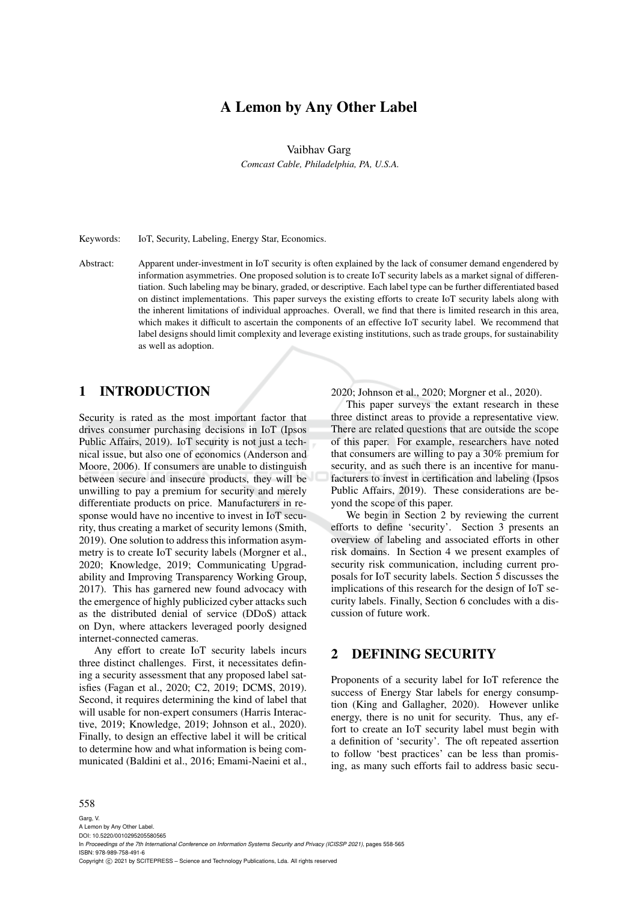# A Lemon by Any Other Label

Vaibhav Garg

*Comcast Cable, Philadelphia, PA, U.S.A.*

Keywords: IoT, Security, Labeling, Energy Star, Economics.

Abstract: Apparent under-investment in IoT security is often explained by the lack of consumer demand engendered by information asymmetries. One proposed solution is to create IoT security labels as a market signal of differentiation. Such labeling may be binary, graded, or descriptive. Each label type can be further differentiated based on distinct implementations. This paper surveys the existing efforts to create IoT security labels along with the inherent limitations of individual approaches. Overall, we find that there is limited research in this area, which makes it difficult to ascertain the components of an effective IoT security label. We recommend that label designs should limit complexity and leverage existing institutions, such as trade groups, for sustainability as well as adoption.

### 1 INTRODUCTION

Security is rated as the most important factor that drives consumer purchasing decisions in IoT (Ipsos Public Affairs, 2019). IoT security is not just a technical issue, but also one of economics (Anderson and Moore, 2006). If consumers are unable to distinguish between secure and insecure products, they will be unwilling to pay a premium for security and merely differentiate products on price. Manufacturers in response would have no incentive to invest in IoT security, thus creating a market of security lemons (Smith, 2019). One solution to address this information asymmetry is to create IoT security labels (Morgner et al., 2020; Knowledge, 2019; Communicating Upgradability and Improving Transparency Working Group, 2017). This has garnered new found advocacy with the emergence of highly publicized cyber attacks such as the distributed denial of service (DDoS) attack on Dyn, where attackers leveraged poorly designed internet-connected cameras.

Any effort to create IoT security labels incurs three distinct challenges. First, it necessitates defining a security assessment that any proposed label satisfies (Fagan et al., 2020; C2, 2019; DCMS, 2019). Second, it requires determining the kind of label that will usable for non-expert consumers (Harris Interactive, 2019; Knowledge, 2019; Johnson et al., 2020). Finally, to design an effective label it will be critical to determine how and what information is being communicated (Baldini et al., 2016; Emami-Naeini et al., 2020; Johnson et al., 2020; Morgner et al., 2020).

This paper surveys the extant research in these three distinct areas to provide a representative view. There are related questions that are outside the scope of this paper. For example, researchers have noted that consumers are willing to pay a 30% premium for security, and as such there is an incentive for manufacturers to invest in certification and labeling (Ipsos Public Affairs, 2019). These considerations are beyond the scope of this paper.

We begin in Section 2 by reviewing the current efforts to define 'security'. Section 3 presents an overview of labeling and associated efforts in other risk domains. In Section 4 we present examples of security risk communication, including current proposals for IoT security labels. Section 5 discusses the implications of this research for the design of IoT security labels. Finally, Section 6 concludes with a discussion of future work.

## 2 DEFINING SECURITY

Proponents of a security label for IoT reference the success of Energy Star labels for energy consumption (King and Gallagher, 2020). However unlike energy, there is no unit for security. Thus, any effort to create an IoT security label must begin with a definition of 'security'. The oft repeated assertion to follow 'best practices' can be less than promising, as many such efforts fail to address basic secu-

#### 558

Garg, V. A Lemon by Any Other Label. DOI: 10.5220/0010295205580565 In *Proceedings of the 7th International Conference on Information Systems Security and Privacy (ICISSP 2021)*, pages 558-565 ISBN: 978-989-758-491-6 Copyright (C) 2021 by SCITEPRESS - Science and Technology Publications, Lda. All rights reserved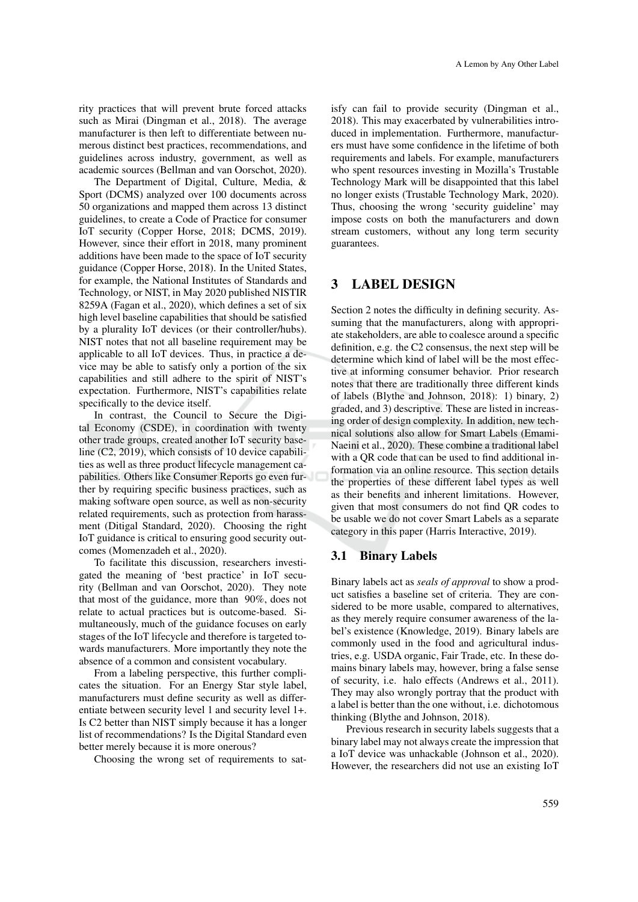rity practices that will prevent brute forced attacks such as Mirai (Dingman et al., 2018). The average manufacturer is then left to differentiate between numerous distinct best practices, recommendations, and guidelines across industry, government, as well as academic sources (Bellman and van Oorschot, 2020).

The Department of Digital, Culture, Media, & Sport (DCMS) analyzed over 100 documents across 50 organizations and mapped them across 13 distinct guidelines, to create a Code of Practice for consumer IoT security (Copper Horse, 2018; DCMS, 2019). However, since their effort in 2018, many prominent additions have been made to the space of IoT security guidance (Copper Horse, 2018). In the United States, for example, the National Institutes of Standards and Technology, or NIST, in May 2020 published NISTIR 8259A (Fagan et al., 2020), which defines a set of six high level baseline capabilities that should be satisfied by a plurality IoT devices (or their controller/hubs). NIST notes that not all baseline requirement may be applicable to all IoT devices. Thus, in practice a device may be able to satisfy only a portion of the six capabilities and still adhere to the spirit of NIST's expectation. Furthermore, NIST's capabilities relate specifically to the device itself.

In contrast, the Council to Secure the Digital Economy (CSDE), in coordination with twenty other trade groups, created another IoT security baseline (C2, 2019), which consists of 10 device capabilities as well as three product lifecycle management capabilities. Others like Consumer Reports go even further by requiring specific business practices, such as making software open source, as well as non-security related requirements, such as protection from harassment (Ditigal Standard, 2020). Choosing the right IoT guidance is critical to ensuring good security outcomes (Momenzadeh et al., 2020).

To facilitate this discussion, researchers investigated the meaning of 'best practice' in IoT security (Bellman and van Oorschot, 2020). They note that most of the guidance, more than 90%, does not relate to actual practices but is outcome-based. Simultaneously, much of the guidance focuses on early stages of the IoT lifecycle and therefore is targeted towards manufacturers. More importantly they note the absence of a common and consistent vocabulary.

From a labeling perspective, this further complicates the situation. For an Energy Star style label, manufacturers must define security as well as differentiate between security level 1 and security level 1+. Is C2 better than NIST simply because it has a longer list of recommendations? Is the Digital Standard even better merely because it is more onerous?

Choosing the wrong set of requirements to sat-

isfy can fail to provide security (Dingman et al., 2018). This may exacerbated by vulnerabilities introduced in implementation. Furthermore, manufacturers must have some confidence in the lifetime of both requirements and labels. For example, manufacturers who spent resources investing in Mozilla's Trustable Technology Mark will be disappointed that this label no longer exists (Trustable Technology Mark, 2020). Thus, choosing the wrong 'security guideline' may impose costs on both the manufacturers and down stream customers, without any long term security guarantees.

# 3 LABEL DESIGN

Section 2 notes the difficulty in defining security. Assuming that the manufacturers, along with appropriate stakeholders, are able to coalesce around a specific definition, e.g. the C2 consensus, the next step will be determine which kind of label will be the most effective at informing consumer behavior. Prior research notes that there are traditionally three different kinds of labels (Blythe and Johnson, 2018): 1) binary, 2) graded, and 3) descriptive. These are listed in increasing order of design complexity. In addition, new technical solutions also allow for Smart Labels (Emami-Naeini et al., 2020). These combine a traditional label with a QR code that can be used to find additional information via an online resource. This section details the properties of these different label types as well as their benefits and inherent limitations. However, given that most consumers do not find QR codes to be usable we do not cover Smart Labels as a separate category in this paper (Harris Interactive, 2019).

#### 3.1 Binary Labels

Binary labels act as *seals of approval* to show a product satisfies a baseline set of criteria. They are considered to be more usable, compared to alternatives, as they merely require consumer awareness of the label's existence (Knowledge, 2019). Binary labels are commonly used in the food and agricultural industries, e.g. USDA organic, Fair Trade, etc. In these domains binary labels may, however, bring a false sense of security, i.e. halo effects (Andrews et al., 2011). They may also wrongly portray that the product with a label is better than the one without, i.e. dichotomous thinking (Blythe and Johnson, 2018).

Previous research in security labels suggests that a binary label may not always create the impression that a IoT device was unhackable (Johnson et al., 2020). However, the researchers did not use an existing IoT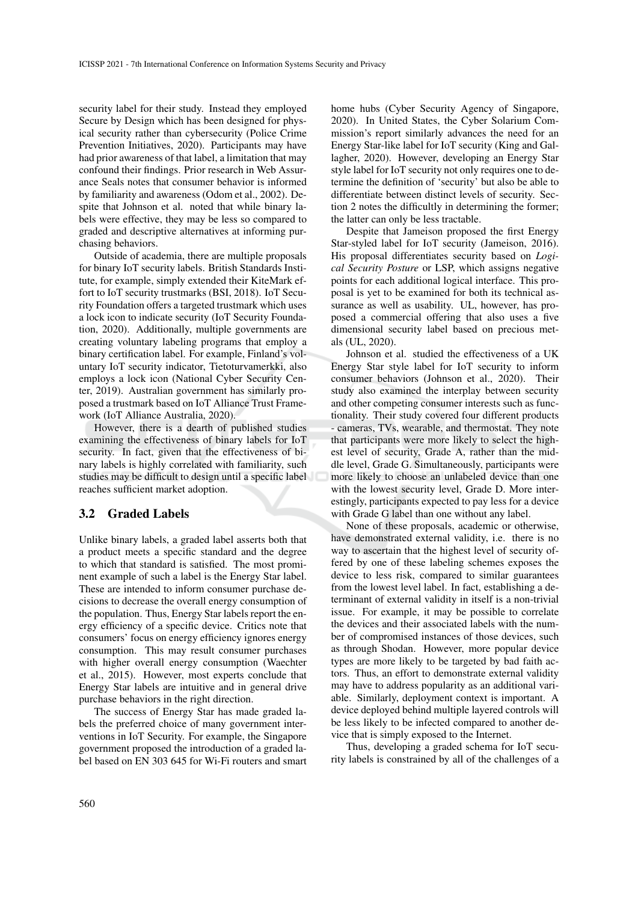security label for their study. Instead they employed Secure by Design which has been designed for physical security rather than cybersecurity (Police Crime Prevention Initiatives, 2020). Participants may have had prior awareness of that label, a limitation that may confound their findings. Prior research in Web Assurance Seals notes that consumer behavior is informed by familiarity and awareness (Odom et al., 2002). Despite that Johnson et al. noted that while binary labels were effective, they may be less so compared to graded and descriptive alternatives at informing purchasing behaviors.

Outside of academia, there are multiple proposals for binary IoT security labels. British Standards Institute, for example, simply extended their KiteMark effort to IoT security trustmarks (BSI, 2018). IoT Security Foundation offers a targeted trustmark which uses a lock icon to indicate security (IoT Security Foundation, 2020). Additionally, multiple governments are creating voluntary labeling programs that employ a binary certification label. For example, Finland's voluntary IoT security indicator, Tietoturvamerkki, also employs a lock icon (National Cyber Security Center, 2019). Australian government has similarly proposed a trustmark based on IoT Alliance Trust Framework (IoT Alliance Australia, 2020).

However, there is a dearth of published studies examining the effectiveness of binary labels for IoT security. In fact, given that the effectiveness of binary labels is highly correlated with familiarity, such studies may be difficult to design until a specific label reaches sufficient market adoption.

#### 3.2 Graded Labels

Unlike binary labels, a graded label asserts both that a product meets a specific standard and the degree to which that standard is satisfied. The most prominent example of such a label is the Energy Star label. These are intended to inform consumer purchase decisions to decrease the overall energy consumption of the population. Thus, Energy Star labels report the energy efficiency of a specific device. Critics note that consumers' focus on energy efficiency ignores energy consumption. This may result consumer purchases with higher overall energy consumption (Waechter et al., 2015). However, most experts conclude that Energy Star labels are intuitive and in general drive purchase behaviors in the right direction.

The success of Energy Star has made graded labels the preferred choice of many government interventions in IoT Security. For example, the Singapore government proposed the introduction of a graded label based on EN 303 645 for Wi-Fi routers and smart home hubs (Cyber Security Agency of Singapore, 2020). In United States, the Cyber Solarium Commission's report similarly advances the need for an Energy Star-like label for IoT security (King and Gallagher, 2020). However, developing an Energy Star style label for IoT security not only requires one to determine the definition of 'security' but also be able to differentiate between distinct levels of security. Section 2 notes the difficultly in determining the former; the latter can only be less tractable.

Despite that Jameison proposed the first Energy Star-styled label for IoT security (Jameison, 2016). His proposal differentiates security based on *Logical Security Posture* or LSP, which assigns negative points for each additional logical interface. This proposal is yet to be examined for both its technical assurance as well as usability. UL, however, has proposed a commercial offering that also uses a five dimensional security label based on precious metals (UL, 2020).

Johnson et al. studied the effectiveness of a UK Energy Star style label for IoT security to inform consumer behaviors (Johnson et al., 2020). Their study also examined the interplay between security and other competing consumer interests such as functionality. Their study covered four different products - cameras, TVs, wearable, and thermostat. They note that participants were more likely to select the highest level of security, Grade A, rather than the middle level, Grade G. Simultaneously, participants were more likely to choose an unlabeled device than one with the lowest security level, Grade D. More interestingly, participants expected to pay less for a device with Grade G label than one without any label.

None of these proposals, academic or otherwise, have demonstrated external validity, i.e. there is no way to ascertain that the highest level of security offered by one of these labeling schemes exposes the device to less risk, compared to similar guarantees from the lowest level label. In fact, establishing a determinant of external validity in itself is a non-trivial issue. For example, it may be possible to correlate the devices and their associated labels with the number of compromised instances of those devices, such as through Shodan. However, more popular device types are more likely to be targeted by bad faith actors. Thus, an effort to demonstrate external validity may have to address popularity as an additional variable. Similarly, deployment context is important. A device deployed behind multiple layered controls will be less likely to be infected compared to another device that is simply exposed to the Internet.

Thus, developing a graded schema for IoT security labels is constrained by all of the challenges of a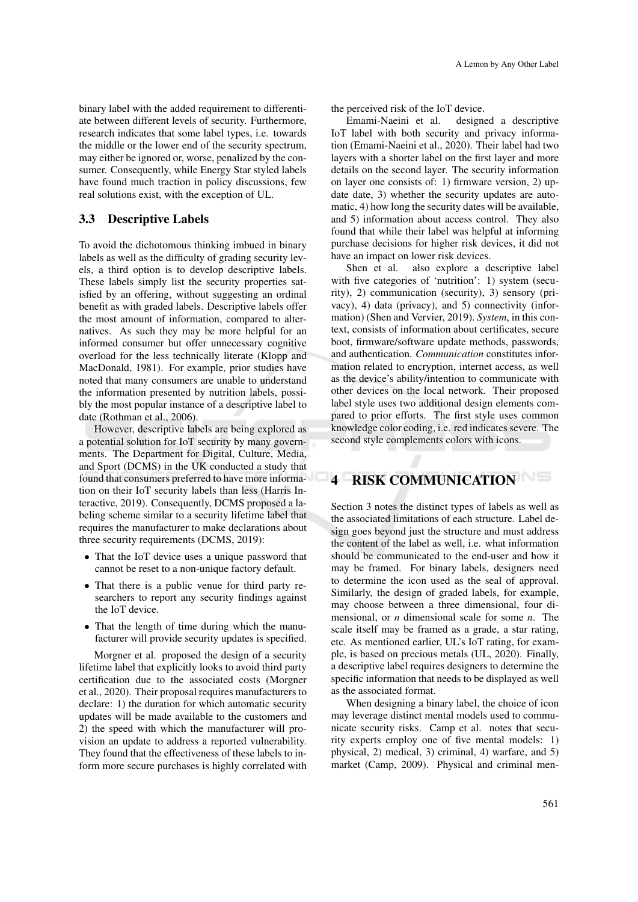binary label with the added requirement to differentiate between different levels of security. Furthermore, research indicates that some label types, i.e. towards the middle or the lower end of the security spectrum, may either be ignored or, worse, penalized by the consumer. Consequently, while Energy Star styled labels have found much traction in policy discussions, few real solutions exist, with the exception of UL.

#### 3.3 Descriptive Labels

To avoid the dichotomous thinking imbued in binary labels as well as the difficulty of grading security levels, a third option is to develop descriptive labels. These labels simply list the security properties satisfied by an offering, without suggesting an ordinal benefit as with graded labels. Descriptive labels offer the most amount of information, compared to alternatives. As such they may be more helpful for an informed consumer but offer unnecessary cognitive overload for the less technically literate (Klopp and MacDonald, 1981). For example, prior studies have noted that many consumers are unable to understand the information presented by nutrition labels, possibly the most popular instance of a descriptive label to date (Rothman et al., 2006).

However, descriptive labels are being explored as a potential solution for IoT security by many governments. The Department for Digital, Culture, Media, and Sport (DCMS) in the UK conducted a study that found that consumers preferred to have more information on their IoT security labels than less (Harris Interactive, 2019). Consequently, DCMS proposed a labeling scheme similar to a security lifetime label that requires the manufacturer to make declarations about three security requirements (DCMS, 2019):

- That the IoT device uses a unique password that cannot be reset to a non-unique factory default.
- That there is a public venue for third party researchers to report any security findings against the IoT device.
- That the length of time during which the manufacturer will provide security updates is specified.

Morgner et al. proposed the design of a security lifetime label that explicitly looks to avoid third party certification due to the associated costs (Morgner et al., 2020). Their proposal requires manufacturers to declare: 1) the duration for which automatic security updates will be made available to the customers and 2) the speed with which the manufacturer will provision an update to address a reported vulnerability. They found that the effectiveness of these labels to inform more secure purchases is highly correlated with the perceived risk of the IoT device.

Emami-Naeini et al. designed a descriptive IoT label with both security and privacy information (Emami-Naeini et al., 2020). Their label had two layers with a shorter label on the first layer and more details on the second layer. The security information on layer one consists of: 1) firmware version, 2) update date, 3) whether the security updates are automatic, 4) how long the security dates will be available, and 5) information about access control. They also found that while their label was helpful at informing purchase decisions for higher risk devices, it did not have an impact on lower risk devices.

Shen et al. also explore a descriptive label with five categories of 'nutrition': 1) system (security), 2) communication (security), 3) sensory (privacy), 4) data (privacy), and 5) connectivity (information) (Shen and Vervier, 2019). *System*, in this context, consists of information about certificates, secure boot, firmware/software update methods, passwords, and authentication. *Communication* constitutes information related to encryption, internet access, as well as the device's ability/intention to communicate with other devices on the local network. Their proposed label style uses two additional design elements compared to prior efforts. The first style uses common knowledge color coding, i.e. red indicates severe. The second style complements colors with icons.

# 4 RISK COMMUNICATION

Section 3 notes the distinct types of labels as well as the associated limitations of each structure. Label design goes beyond just the structure and must address the content of the label as well, i.e. what information should be communicated to the end-user and how it may be framed. For binary labels, designers need to determine the icon used as the seal of approval. Similarly, the design of graded labels, for example, may choose between a three dimensional, four dimensional, or *n* dimensional scale for some *n*. The scale itself may be framed as a grade, a star rating, etc. As mentioned earlier, UL's IoT rating, for example, is based on precious metals (UL, 2020). Finally, a descriptive label requires designers to determine the specific information that needs to be displayed as well as the associated format.

When designing a binary label, the choice of icon may leverage distinct mental models used to communicate security risks. Camp et al. notes that security experts employ one of five mental models: 1) physical, 2) medical, 3) criminal, 4) warfare, and 5) market (Camp, 2009). Physical and criminal men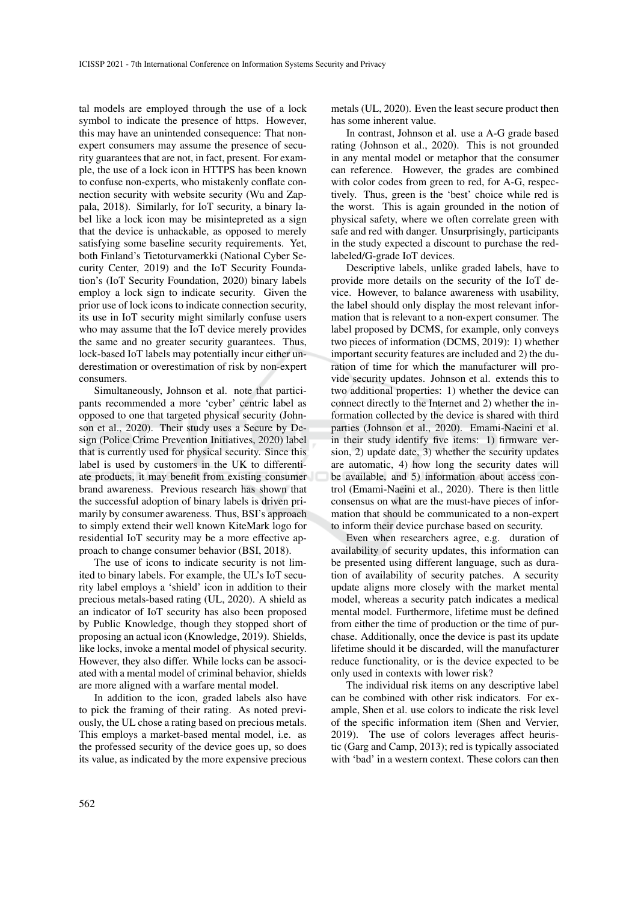tal models are employed through the use of a lock symbol to indicate the presence of https. However, this may have an unintended consequence: That nonexpert consumers may assume the presence of security guarantees that are not, in fact, present. For example, the use of a lock icon in HTTPS has been known to confuse non-experts, who mistakenly conflate connection security with website security (Wu and Zappala, 2018). Similarly, for IoT security, a binary label like a lock icon may be misintepreted as a sign that the device is unhackable, as opposed to merely satisfying some baseline security requirements. Yet, both Finland's Tietoturvamerkki (National Cyber Security Center, 2019) and the IoT Security Foundation's (IoT Security Foundation, 2020) binary labels employ a lock sign to indicate security. Given the prior use of lock icons to indicate connection security, its use in IoT security might similarly confuse users who may assume that the IoT device merely provides the same and no greater security guarantees. Thus, lock-based IoT labels may potentially incur either underestimation or overestimation of risk by non-expert consumers.

Simultaneously, Johnson et al. note that participants recommended a more 'cyber' centric label as opposed to one that targeted physical security (Johnson et al., 2020). Their study uses a Secure by Design (Police Crime Prevention Initiatives, 2020) label that is currently used for physical security. Since this label is used by customers in the UK to differentiate products, it may benefit from existing consumer brand awareness. Previous research has shown that the successful adoption of binary labels is driven primarily by consumer awareness. Thus, BSI's approach to simply extend their well known KiteMark logo for residential IoT security may be a more effective approach to change consumer behavior (BSI, 2018).

The use of icons to indicate security is not limited to binary labels. For example, the UL's IoT security label employs a 'shield' icon in addition to their precious metals-based rating (UL, 2020). A shield as an indicator of IoT security has also been proposed by Public Knowledge, though they stopped short of proposing an actual icon (Knowledge, 2019). Shields, like locks, invoke a mental model of physical security. However, they also differ. While locks can be associated with a mental model of criminal behavior, shields are more aligned with a warfare mental model.

In addition to the icon, graded labels also have to pick the framing of their rating. As noted previously, the UL chose a rating based on precious metals. This employs a market-based mental model, i.e. as the professed security of the device goes up, so does its value, as indicated by the more expensive precious metals (UL, 2020). Even the least secure product then has some inherent value.

In contrast, Johnson et al. use a A-G grade based rating (Johnson et al., 2020). This is not grounded in any mental model or metaphor that the consumer can reference. However, the grades are combined with color codes from green to red, for A-G, respectively. Thus, green is the 'best' choice while red is the worst. This is again grounded in the notion of physical safety, where we often correlate green with safe and red with danger. Unsurprisingly, participants in the study expected a discount to purchase the redlabeled/G-grade IoT devices.

Descriptive labels, unlike graded labels, have to provide more details on the security of the IoT device. However, to balance awareness with usability, the label should only display the most relevant information that is relevant to a non-expert consumer. The label proposed by DCMS, for example, only conveys two pieces of information (DCMS, 2019): 1) whether important security features are included and 2) the duration of time for which the manufacturer will provide security updates. Johnson et al. extends this to two additional properties: 1) whether the device can connect directly to the Internet and 2) whether the information collected by the device is shared with third parties (Johnson et al., 2020). Emami-Naeini et al. in their study identify five items: 1) firmware version, 2) update date, 3) whether the security updates are automatic, 4) how long the security dates will be available, and 5) information about access control (Emami-Naeini et al., 2020). There is then little consensus on what are the must-have pieces of information that should be communicated to a non-expert to inform their device purchase based on security.

Even when researchers agree, e.g. duration of availability of security updates, this information can be presented using different language, such as duration of availability of security patches. A security update aligns more closely with the market mental model, whereas a security patch indicates a medical mental model. Furthermore, lifetime must be defined from either the time of production or the time of purchase. Additionally, once the device is past its update lifetime should it be discarded, will the manufacturer reduce functionality, or is the device expected to be only used in contexts with lower risk?

The individual risk items on any descriptive label can be combined with other risk indicators. For example, Shen et al. use colors to indicate the risk level of the specific information item (Shen and Vervier, 2019). The use of colors leverages affect heuristic (Garg and Camp, 2013); red is typically associated with 'bad' in a western context. These colors can then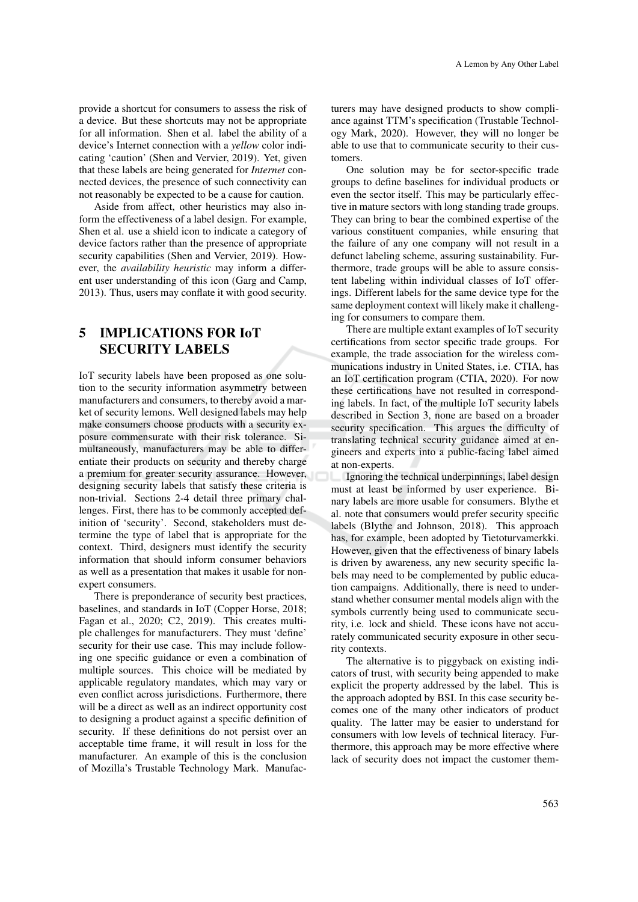provide a shortcut for consumers to assess the risk of a device. But these shortcuts may not be appropriate for all information. Shen et al. label the ability of a device's Internet connection with a *yellow* color indicating 'caution' (Shen and Vervier, 2019). Yet, given that these labels are being generated for *Internet* connected devices, the presence of such connectivity can not reasonably be expected to be a cause for caution.

Aside from affect, other heuristics may also inform the effectiveness of a label design. For example, Shen et al. use a shield icon to indicate a category of device factors rather than the presence of appropriate security capabilities (Shen and Vervier, 2019). However, the *availability heuristic* may inform a different user understanding of this icon (Garg and Camp, 2013). Thus, users may conflate it with good security.

# 5 IMPLICATIONS FOR IoT SECURITY LABELS

IoT security labels have been proposed as one solution to the security information asymmetry between manufacturers and consumers, to thereby avoid a market of security lemons. Well designed labels may help make consumers choose products with a security exposure commensurate with their risk tolerance. Simultaneously, manufacturers may be able to differentiate their products on security and thereby charge a premium for greater security assurance. However, designing security labels that satisfy these criteria is non-trivial. Sections 2-4 detail three primary challenges. First, there has to be commonly accepted definition of 'security'. Second, stakeholders must determine the type of label that is appropriate for the context. Third, designers must identify the security information that should inform consumer behaviors as well as a presentation that makes it usable for nonexpert consumers.

There is preponderance of security best practices, baselines, and standards in IoT (Copper Horse, 2018; Fagan et al., 2020; C2, 2019). This creates multiple challenges for manufacturers. They must 'define' security for their use case. This may include following one specific guidance or even a combination of multiple sources. This choice will be mediated by applicable regulatory mandates, which may vary or even conflict across jurisdictions. Furthermore, there will be a direct as well as an indirect opportunity cost to designing a product against a specific definition of security. If these definitions do not persist over an acceptable time frame, it will result in loss for the manufacturer. An example of this is the conclusion of Mozilla's Trustable Technology Mark. Manufac-

turers may have designed products to show compliance against TTM's specification (Trustable Technology Mark, 2020). However, they will no longer be able to use that to communicate security to their customers.

One solution may be for sector-specific trade groups to define baselines for individual products or even the sector itself. This may be particularly effective in mature sectors with long standing trade groups. They can bring to bear the combined expertise of the various constituent companies, while ensuring that the failure of any one company will not result in a defunct labeling scheme, assuring sustainability. Furthermore, trade groups will be able to assure consistent labeling within individual classes of IoT offerings. Different labels for the same device type for the same deployment context will likely make it challenging for consumers to compare them.

There are multiple extant examples of IoT security certifications from sector specific trade groups. For example, the trade association for the wireless communications industry in United States, i.e. CTIA, has an IoT certification program (CTIA, 2020). For now these certifications have not resulted in corresponding labels. In fact, of the multiple IoT security labels described in Section 3, none are based on a broader security specification. This argues the difficulty of translating technical security guidance aimed at engineers and experts into a public-facing label aimed at non-experts.

Ignoring the technical underpinnings, label design must at least be informed by user experience. Binary labels are more usable for consumers. Blythe et al. note that consumers would prefer security specific labels (Blythe and Johnson, 2018). This approach has, for example, been adopted by Tietoturvamerkki. However, given that the effectiveness of binary labels is driven by awareness, any new security specific labels may need to be complemented by public education campaigns. Additionally, there is need to understand whether consumer mental models align with the symbols currently being used to communicate security, i.e. lock and shield. These icons have not accurately communicated security exposure in other security contexts.

The alternative is to piggyback on existing indicators of trust, with security being appended to make explicit the property addressed by the label. This is the approach adopted by BSI. In this case security becomes one of the many other indicators of product quality. The latter may be easier to understand for consumers with low levels of technical literacy. Furthermore, this approach may be more effective where lack of security does not impact the customer them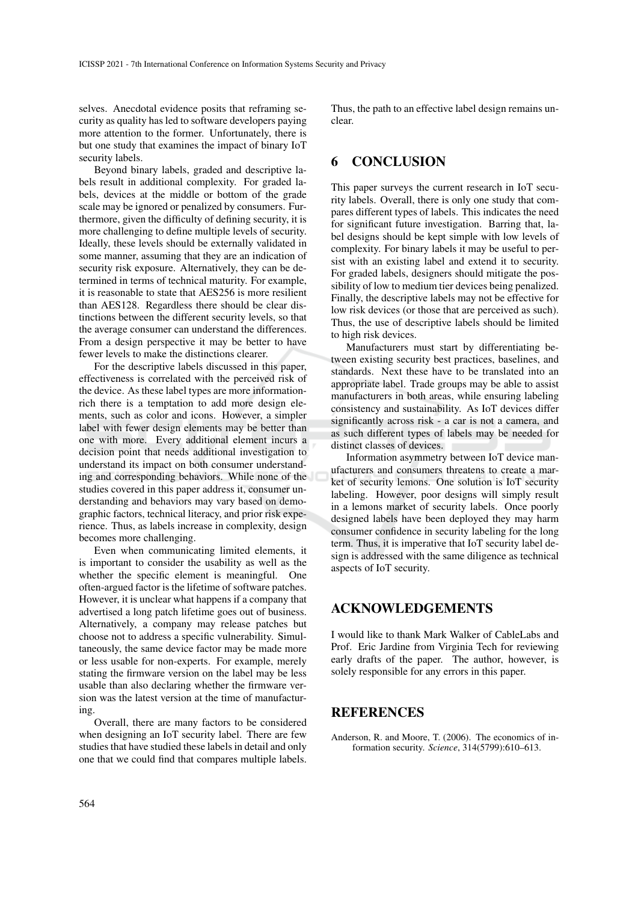selves. Anecdotal evidence posits that reframing security as quality has led to software developers paying more attention to the former. Unfortunately, there is but one study that examines the impact of binary IoT security labels.

Beyond binary labels, graded and descriptive labels result in additional complexity. For graded labels, devices at the middle or bottom of the grade scale may be ignored or penalized by consumers. Furthermore, given the difficulty of defining security, it is more challenging to define multiple levels of security. Ideally, these levels should be externally validated in some manner, assuming that they are an indication of security risk exposure. Alternatively, they can be determined in terms of technical maturity. For example, it is reasonable to state that AES256 is more resilient than AES128. Regardless there should be clear distinctions between the different security levels, so that the average consumer can understand the differences. From a design perspective it may be better to have fewer levels to make the distinctions clearer.

For the descriptive labels discussed in this paper, effectiveness is correlated with the perceived risk of the device. As these label types are more informationrich there is a temptation to add more design elements, such as color and icons. However, a simpler label with fewer design elements may be better than one with more. Every additional element incurs a decision point that needs additional investigation to understand its impact on both consumer understanding and corresponding behaviors. While none of the studies covered in this paper address it, consumer understanding and behaviors may vary based on demographic factors, technical literacy, and prior risk experience. Thus, as labels increase in complexity, design becomes more challenging.

Even when communicating limited elements, it is important to consider the usability as well as the whether the specific element is meaningful. One often-argued factor is the lifetime of software patches. However, it is unclear what happens if a company that advertised a long patch lifetime goes out of business. Alternatively, a company may release patches but choose not to address a specific vulnerability. Simultaneously, the same device factor may be made more or less usable for non-experts. For example, merely stating the firmware version on the label may be less usable than also declaring whether the firmware version was the latest version at the time of manufacturing.

Overall, there are many factors to be considered when designing an IoT security label. There are few studies that have studied these labels in detail and only one that we could find that compares multiple labels.

Thus, the path to an effective label design remains unclear.

# 6 CONCLUSION

This paper surveys the current research in IoT security labels. Overall, there is only one study that compares different types of labels. This indicates the need for significant future investigation. Barring that, label designs should be kept simple with low levels of complexity. For binary labels it may be useful to persist with an existing label and extend it to security. For graded labels, designers should mitigate the possibility of low to medium tier devices being penalized. Finally, the descriptive labels may not be effective for low risk devices (or those that are perceived as such). Thus, the use of descriptive labels should be limited to high risk devices.

Manufacturers must start by differentiating between existing security best practices, baselines, and standards. Next these have to be translated into an appropriate label. Trade groups may be able to assist manufacturers in both areas, while ensuring labeling consistency and sustainability. As IoT devices differ significantly across risk - a car is not a camera, and as such different types of labels may be needed for distinct classes of devices.

Information asymmetry between IoT device manufacturers and consumers threatens to create a market of security lemons. One solution is IoT security labeling. However, poor designs will simply result in a lemons market of security labels. Once poorly designed labels have been deployed they may harm consumer confidence in security labeling for the long term. Thus, it is imperative that IoT security label design is addressed with the same diligence as technical aspects of IoT security.

## ACKNOWLEDGEMENTS

I would like to thank Mark Walker of CableLabs and Prof. Eric Jardine from Virginia Tech for reviewing early drafts of the paper. The author, however, is solely responsible for any errors in this paper.

#### **REFERENCES**

Anderson, R. and Moore, T. (2006). The economics of information security. *Science*, 314(5799):610–613.